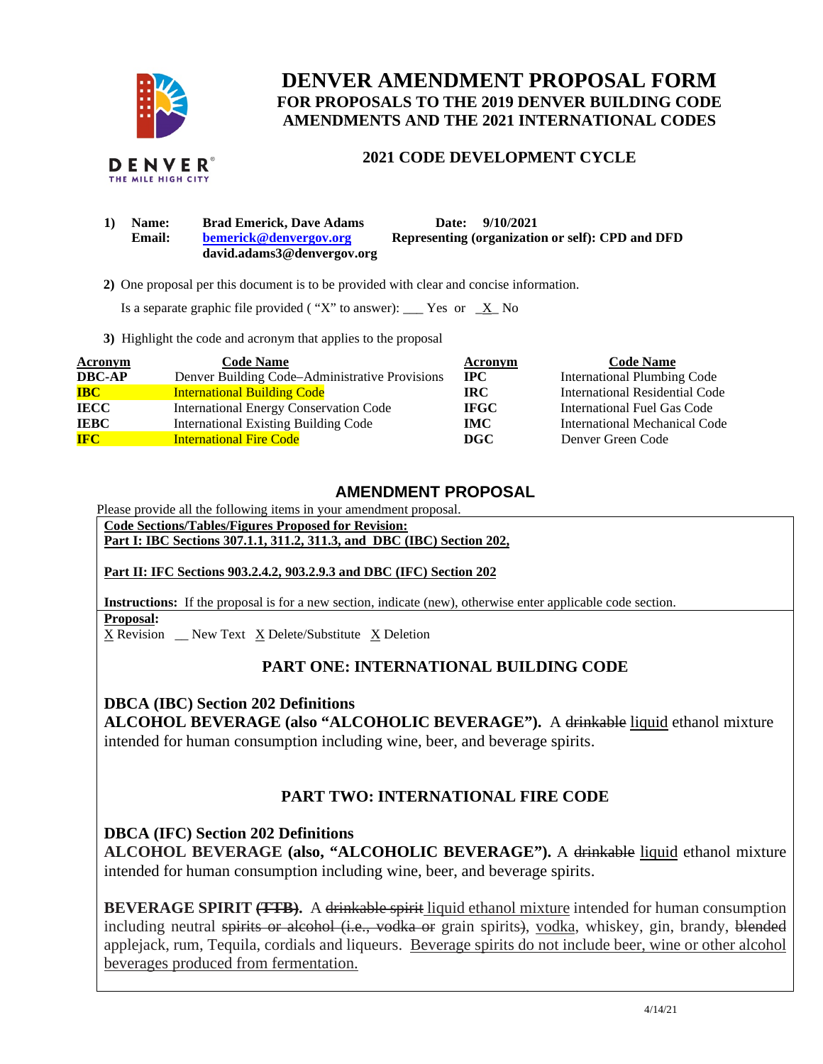

**DENVER AMENDMENT PROPOSAL FORM FOR PROPOSALS TO THE 2019 DENVER BUILDING CODE AMENDMENTS AND THE 2021 INTERNATIONAL CODES** 

### **2021 CODE DEVELOPMENT CYCLE**

**1) Name: Brad Emerick, Dave Adams Date: 9/10/2021 Email: [bemerick@denvergov.org](mailto:bemerick@denvergov.org) david.adams3@denvergov.org Representing (organization or self): CPD and DFD** 

 **2)** One proposal per this document is to be provided with clear and concise information.

Is a separate graphic file provided ("X" to answer): \_\_\_ Yes or  $X$  No

**3)** Highlight the code and acronym that applies to the proposal

| <b>Acronym</b> | <b>Code Name</b>                               | Acronym     | <b>Code Name</b>                   |
|----------------|------------------------------------------------|-------------|------------------------------------|
| <b>DBC-AP</b>  | Denver Building Code–Administrative Provisions | $\bf IPC$   | <b>International Plumbing Code</b> |
| <b>IBC</b>     | <b>International Building Code</b>             | IRC.        | International Residential Code     |
| <b>IECC</b>    | <b>International Energy Conservation Code</b>  | <b>IFGC</b> | International Fuel Gas Code        |
| <b>IEBC</b>    | <b>International Existing Building Code</b>    | IMC .       | International Mechanical Code      |
| <b>IFC</b>     | <b>International Fire Code</b>                 | DGC.        | Denver Green Code                  |

### **AMENDMENT PROPOSAL**

Please provide all the following items in your amendment proposal.

**Code Sections/Tables/Figures Proposed for Revision:** 

**Part I: IBC Sections 307.1.1, 311.2, 311.3, and DBC (IBC) Section 202,** 

#### **Part II: IFC Sections 903.2.4.2, 903.2.9.3 and DBC (IFC) Section 202**

**Instructions:** If the proposal is for a new section, indicate (new), otherwise enter applicable code section. **Proposal:** 

X Revision \_\_ New Text X Delete/Substitute X Deletion

# **PART ONE: INTERNATIONAL BUILDING CODE**

**DBCA (IBC) Section 202 Definitions ALCOHOL BEVERAGE (also "ALCOHOLIC BEVERAGE").** A drinkable liquid ethanol mixture intended for human consumption including wine, beer, and beverage spirits.

# **PART TWO: INTERNATIONAL FIRE CODE**

**DBCA (IFC) Section 202 Definitions ALCOHOL BEVERAGE (also, "ALCOHOLIC BEVERAGE").** A drinkable liquid ethanol mixture intended for human consumption including wine, beer, and beverage spirits.

**BEVERAGE SPIRIT (TTB).** A drinkable spirit liquid ethanol mixture intended for human consumption including neutral spirits or alcohol (i.e., vodka or grain spirits), vodka, whiskey, gin, brandy, blended applejack, rum, Tequila, cordials and liqueurs. Beverage spirits do not include beer, wine or other alcohol beverages produced from fermentation.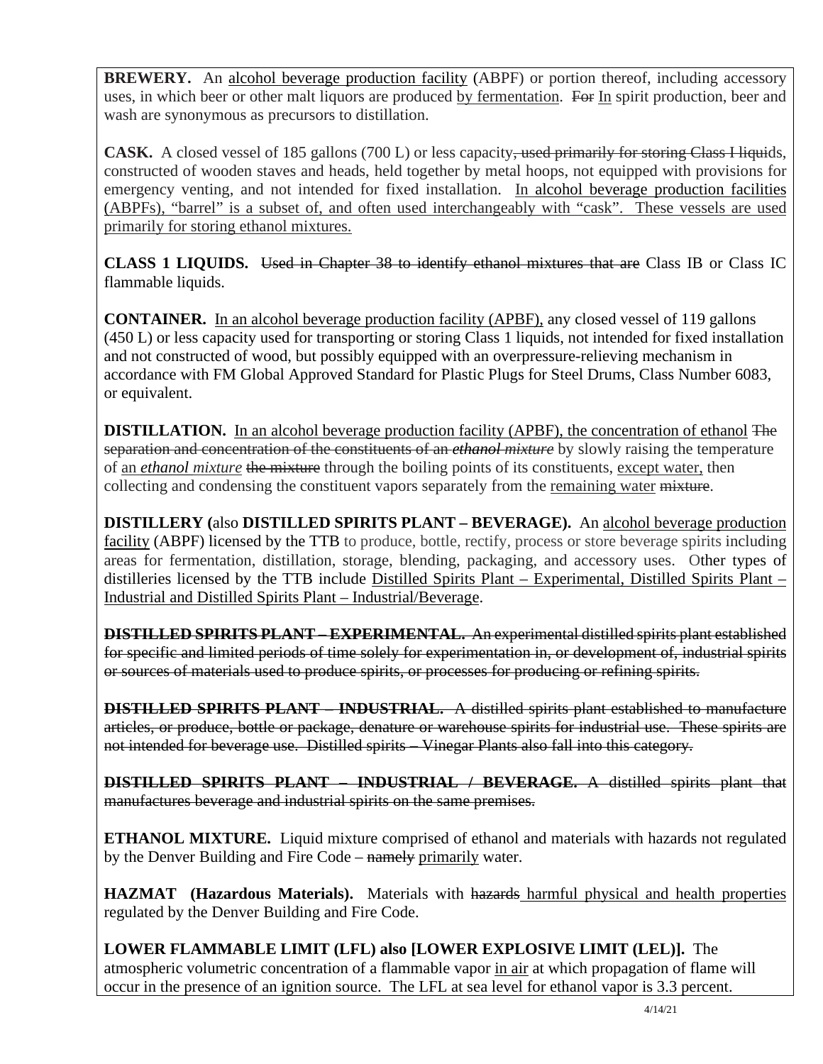**BREWERY.** An alcohol beverage production facility (ABPF) or portion thereof, including accessory uses, in which beer or other malt liquors are produced by fermentation. For In spirit production, beer and wash are synonymous as precursors to distillation.

**CASK.** A closed vessel of 185 gallons (700 L) or less capacity, used primarily for storing Class Hiquids, constructed of wooden staves and heads, held together by metal hoops, not equipped with provisions for emergency venting, and not intended for fixed installation. In alcohol beverage production facilities (ABPFs), "barrel" is a subset of, and often used interchangeably with "cask". These vessels are used primarily for storing ethanol mixtures.

**CLASS 1 LIQUIDS.** Used in Chapter 38 to identify ethanol mixtures that are Class IB or Class IC flammable liquids.

**CONTAINER.** In an alcohol beverage production facility (APBF), any closed vessel of 119 gallons (450 L) or less capacity used for transporting or storing Class 1 liquids, not intended for fixed installation and not constructed of wood, but possibly equipped with an overpressure-relieving mechanism in accordance with FM Global Approved Standard for Plastic Plugs for Steel Drums, Class Number 6083, or equivalent.

**DISTILLATION.** In an alcohol beverage production facility (APBF), the concentration of ethanol The separation and concentration of the constituents of an *ethanol mixture* by slowly raising the temperature of an *ethanol mixture* the mixture through the boiling points of its constituents, except water, then collecting and condensing the constituent vapors separately from the remaining water mixture.

**DISTILLERY (**also **DISTILLED SPIRITS PLANT – BEVERAGE).** An alcohol beverage production facility (ABPF) licensed by the TTB to produce, bottle, rectify, process or store beverage spirits including areas for fermentation, distillation, storage, blending, packaging, and accessory uses. Other types of distilleries licensed by the TTB include Distilled Spirits Plant – Experimental, Distilled Spirits Plant – Industrial and Distilled Spirits Plant – Industrial/Beverage.

**DISTILLED SPIRITS PLANT – EXPERIMENTAL.** An experimental distilled spirits plant established for specific and limited periods of time solely for experimentation in, or development of, industrial spirits or sources of materials used to produce spirits, or processes for producing or refining spirits.

**DISTILLED SPIRITS PLANT – INDUSTRIAL.** A distilled spirits plant established to manufacture articles, or produce, bottle or package, denature or warehouse spirits for industrial use. These spirits are not intended for beverage use. Distilled spirits Vinegar Plants also fall into this category.

**DISTILLED SPIRITS PLANT – INDUSTRIAL / BEVERAGE.** A distilled spirits plant that manufactures beverage and industrial spirits on the same premises.

**ETHANOL MIXTURE.** Liquid mixture comprised of ethanol and materials with hazards not regulated by the Denver Building and Fire Code – namely primarily water.

**HAZMAT** (Hazardous Materials). Materials with hazards harmful physical and health properties regulated by the Denver Building and Fire Code.

**LOWER FLAMMABLE LIMIT (LFL) also [LOWER EXPLOSIVE LIMIT (LEL)].** The atmospheric volumetric concentration of a flammable vapor in air at which propagation of flame will occur in the presence of an ignition source. The LFL at sea level for ethanol vapor is 3.3 percent.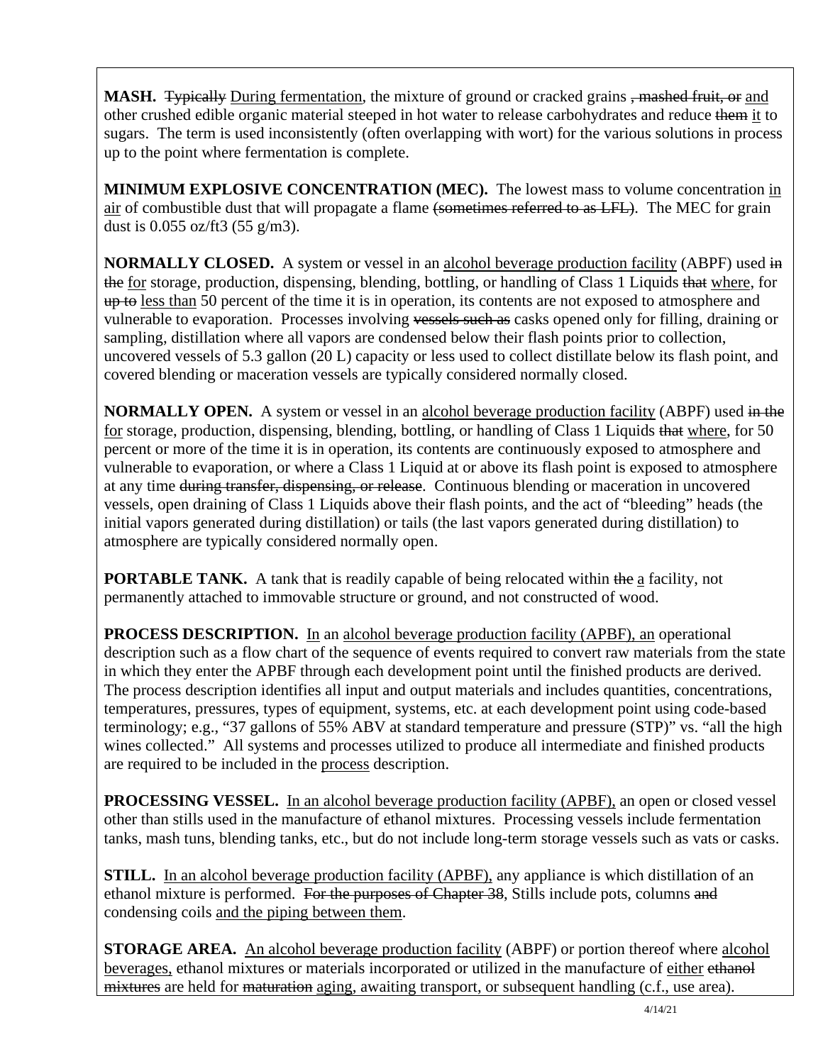**MASH.** Typically During fermentation, the mixture of ground or cracked grains, mashed fruit, or and other crushed edible organic material steeped in hot water to release carbohydrates and reduce them it to sugars. The term is used inconsistently (often overlapping with wort) for the various solutions in process up to the point where fermentation is complete.

**MINIMUM EXPLOSIVE CONCENTRATION (MEC).** The lowest mass to volume concentration in air of combustible dust that will propagate a flame (sometimes referred to as LFL). The MEC for grain dust is 0.055 oz/ft3 (55 g/m3).

**NORMALLY CLOSED.** A system or vessel in an alcohol beverage production facility (ABPF) used in the for storage, production, dispensing, blending, bottling, or handling of Class 1 Liquids that where, for up to less than 50 percent of the time it is in operation, its contents are not exposed to atmosphere and vulnerable to evaporation. Processes involving vessels such as casks opened only for filling, draining or sampling, distillation where all vapors are condensed below their flash points prior to collection, uncovered vessels of 5.3 gallon (20 L) capacity or less used to collect distillate below its flash point, and covered blending or maceration vessels are typically considered normally closed.

**NORMALLY OPEN.** A system or vessel in an alcohol beverage production facility (ABPF) used in the for storage, production, dispensing, blending, bottling, or handling of Class 1 Liquids that where, for 50 percent or more of the time it is in operation, its contents are continuously exposed to atmosphere and vulnerable to evaporation, or where a Class 1 Liquid at or above its flash point is exposed to atmosphere at any time during transfer, dispensing, or release. Continuous blending or maceration in uncovered vessels, open draining of Class 1 Liquids above their flash points, and the act of "bleeding" heads (the initial vapors generated during distillation) or tails (the last vapors generated during distillation) to atmosphere are typically considered normally open.

**PORTABLE TANK.** A tank that is readily capable of being relocated within the a facility, not permanently attached to immovable structure or ground, and not constructed of wood.

**PROCESS DESCRIPTION.** In an alcohol beverage production facility (APBF), an operational description such as a flow chart of the sequence of events required to convert raw materials from the state in which they enter the APBF through each development point until the finished products are derived. The process description identifies all input and output materials and includes quantities, concentrations, temperatures, pressures, types of equipment, systems, etc. at each development point using code-based terminology; e.g., "37 gallons of 55% ABV at standard temperature and pressure (STP)" vs. "all the high wines collected." All systems and processes utilized to produce all intermediate and finished products are required to be included in the process description.

**PROCESSING VESSEL.** In an alcohol beverage production facility (APBF), an open or closed vessel other than stills used in the manufacture of ethanol mixtures. Processing vessels include fermentation tanks, mash tuns, blending tanks, etc., but do not include long-term storage vessels such as vats or casks.

**STILL.** In an alcohol beverage production facility (APBF), any appliance is which distillation of an ethanol mixture is performed. For the purposes of Chapter 38, Stills include pots, columns and condensing coils and the piping between them.

**STORAGE AREA.** An alcohol beverage production facility (ABPF) or portion thereof where alcohol beverages, ethanol mixtures or materials incorporated or utilized in the manufacture of either ethanol mixtures are held for maturation aging, awaiting transport, or subsequent handling (c.f., use area).